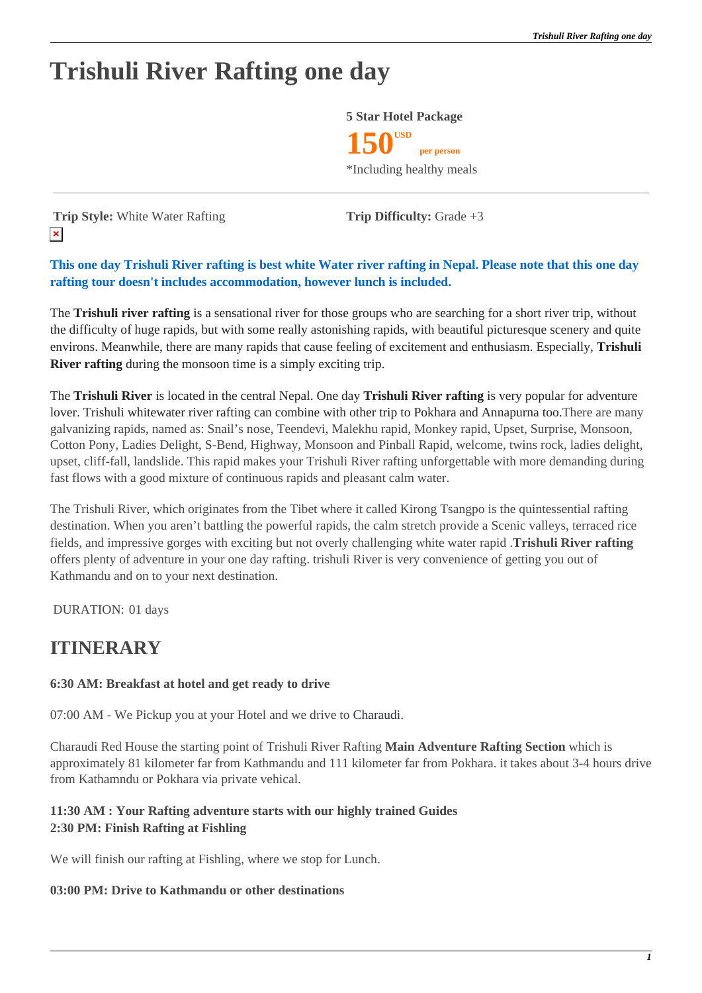# **Trishuli River Rafting one day**



**Trip Style:** White Water Rafting **Trip Difficulty:** Grade +3  $\pmb{\times}$ 

### **This one day Trishuli River rafting is best white Water river rafting in Nepal. Please note that this one day rafting tour doesn't includes accommodation, however lunch is included.**

The **Trishuli river rafting** is a sensational river for those groups who are searching for a short river trip, without the difficulty of huge rapids, but with some really astonishing rapids, with beautiful picturesque scenery and quite environs. Meanwhile, there are many rapids that cause feeling of excitement and enthusiasm. Especially, **Trishuli River rafting** during the monsoon time is a simply exciting trip.

The **Trishuli River** is located in the central Nepal. One day **Trishuli River rafting** is very popular for adventure lover. Trishuli whitewater river rafting can combine with other trip to Pokhara and Annapurna too.There are many galvanizing rapids, named as: Snail's nose, Teendevi, Malekhu rapid, Monkey rapid, Upset, Surprise, Monsoon, Cotton Pony, Ladies Delight, S-Bend, Highway, Monsoon and Pinball Rapid, welcome, twins rock, ladies delight, upset, cliff-fall, landslide. This rapid makes your Trishuli River rafting unforgettable with more demanding during fast flows with a good mixture of continuous rapids and pleasant calm water.

The Trishuli River, which originates from the Tibet where it called Kirong Tsangpo is the quintessential rafting destination. When you aren't battling the powerful rapids, the calm stretch provide a Scenic valleys, terraced rice fields, and impressive gorges with exciting but not overly challenging white water rapid .**Trishuli River rafting** offers plenty of adventure in your one day rafting. trishuli River is very convenience of getting you out of Kathmandu and on to your next destination.

DURATION: 01 days

# **ITINERARY**

### **6:30 AM: Breakfast at hotel and get ready to drive**

07:00 AM - We Pickup you at your Hotel and we drive to Charaudi.

Charaudi Red House the starting point of Trishuli River Rafting **Main Adventure Rafting Section** which is approximately 81 kilometer far from Kathmandu and 111 kilometer far from Pokhara. it takes about 3-4 hours drive from Kathamndu or Pokhara via private vehical.

#### **11:30 AM : Your Rafting adventure starts with our highly trained Guides 2:30 PM: Finish Rafting at Fishling**

We will finish our rafting at Fishling, where we stop for Lunch.

#### **03:00 PM: Drive to Kathmandu or other destinations**